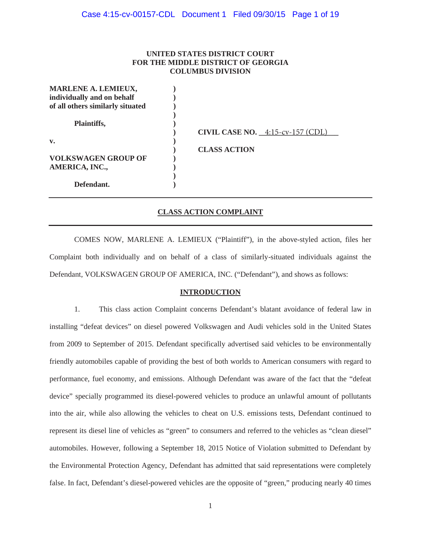# **UNITED STATES DISTRICT COURT FOR THE MIDDLE DISTRICT OF GEORGIA COLUMBUS DIVISION**

| <b>MARLENE A. LEMIEUX,</b>       |                                     |
|----------------------------------|-------------------------------------|
| individually and on behalf       |                                     |
| of all others similarly situated |                                     |
|                                  |                                     |
| Plaintiffs,                      |                                     |
|                                  | CIVIL CASE NO. $4:15$ -cv-157 (CDL) |
| $\mathbf{v}$ .                   |                                     |
|                                  | <b>CLASS ACTION</b>                 |
| <b>VOLKSWAGEN GROUP OF</b>       |                                     |
| AMERICA, INC.,                   |                                     |
|                                  |                                     |
| Defendant.                       |                                     |

# **CLASS ACTION COMPLAINT**

COMES NOW, MARLENE A. LEMIEUX ("Plaintiff"), in the above-styled action, files her Complaint both individually and on behalf of a class of similarly-situated individuals against the Defendant, VOLKSWAGEN GROUP OF AMERICA, INC. ("Defendant"), and shows as follows:

### **INTRODUCTION**

1. This class action Complaint concerns Defendant's blatant avoidance of federal law in installing "defeat devices" on diesel powered Volkswagen and Audi vehicles sold in the United States from 2009 to September of 2015. Defendant specifically advertised said vehicles to be environmentally friendly automobiles capable of providing the best of both worlds to American consumers with regard to performance, fuel economy, and emissions. Although Defendant was aware of the fact that the "defeat device" specially programmed its diesel-powered vehicles to produce an unlawful amount of pollutants into the air, while also allowing the vehicles to cheat on U.S. emissions tests, Defendant continued to represent its diesel line of vehicles as "green" to consumers and referred to the vehicles as "clean diesel" automobiles. However, following a September 18, 2015 Notice of Violation submitted to Defendant by the Environmental Protection Agency, Defendant has admitted that said representations were completely false. In fact, Defendant's diesel-powered vehicles are the opposite of "green," producing nearly 40 times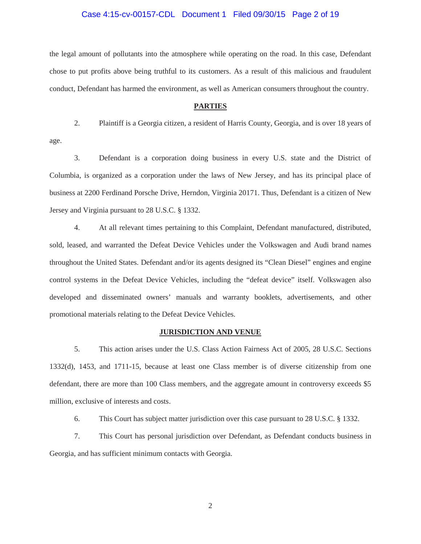# Case 4:15-cv-00157-CDL Document 1 Filed 09/30/15 Page 2 of 19

the legal amount of pollutants into the atmosphere while operating on the road. In this case, Defendant chose to put profits above being truthful to its customers. As a result of this malicious and fraudulent conduct, Defendant has harmed the environment, as well as American consumers throughout the country.

#### **PARTIES**

 2. Plaintiff is a Georgia citizen, a resident of Harris County, Georgia, and is over 18 years of age.

 3. Defendant is a corporation doing business in every U.S. state and the District of Columbia, is organized as a corporation under the laws of New Jersey, and has its principal place of business at 2200 Ferdinand Porsche Drive, Herndon, Virginia 20171. Thus, Defendant is a citizen of New Jersey and Virginia pursuant to 28 U.S.C. § 1332.

 4. At all relevant times pertaining to this Complaint, Defendant manufactured, distributed, sold, leased, and warranted the Defeat Device Vehicles under the Volkswagen and Audi brand names throughout the United States. Defendant and/or its agents designed its "Clean Diesel" engines and engine control systems in the Defeat Device Vehicles, including the "defeat device" itself. Volkswagen also developed and disseminated owners' manuals and warranty booklets, advertisements, and other promotional materials relating to the Defeat Device Vehicles.

#### **JURISDICTION AND VENUE**

 5. This action arises under the U.S. Class Action Fairness Act of 2005, 28 U.S.C. Sections 1332(d), 1453, and 1711-15, because at least one Class member is of diverse citizenship from one defendant, there are more than 100 Class members, and the aggregate amount in controversy exceeds \$5 million, exclusive of interests and costs.

6. This Court has subject matter jurisdiction over this case pursuant to 28 U.S.C. § 1332.

 7. This Court has personal jurisdiction over Defendant, as Defendant conducts business in Georgia, and has sufficient minimum contacts with Georgia.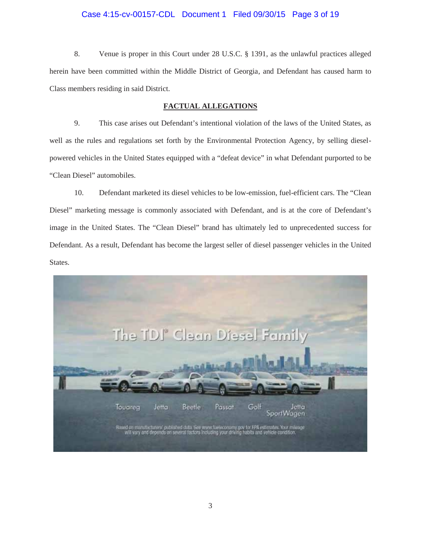# Case 4:15-cv-00157-CDL Document 1 Filed 09/30/15 Page 3 of 19

 8. Venue is proper in this Court under 28 U.S.C. § 1391, as the unlawful practices alleged herein have been committed within the Middle District of Georgia, and Defendant has caused harm to Class members residing in said District.

# **FACTUAL ALLEGATIONS**

 9. This case arises out Defendant's intentional violation of the laws of the United States, as well as the rules and regulations set forth by the Environmental Protection Agency, by selling dieselpowered vehicles in the United States equipped with a "defeat device" in what Defendant purported to be "Clean Diesel" automobiles.

10. Defendant marketed its diesel vehicles to be low-emission, fuel-efficient cars. The "Clean Diesel" marketing message is commonly associated with Defendant, and is at the core of Defendant's image in the United States. The "Clean Diesel" brand has ultimately led to unprecedented success for Defendant. As a result, Defendant has become the largest seller of diesel passenger vehicles in the United States.

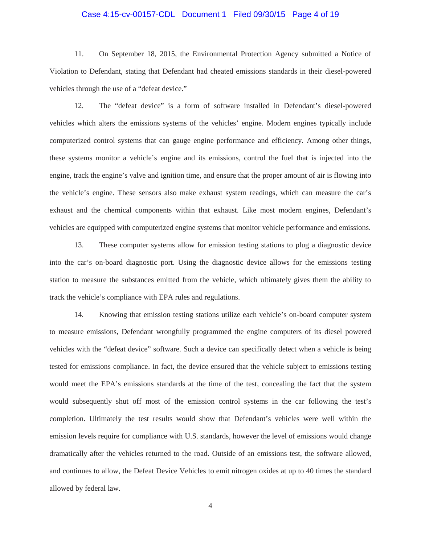# Case 4:15-cv-00157-CDL Document 1 Filed 09/30/15 Page 4 of 19

11. On September 18, 2015, the Environmental Protection Agency submitted a Notice of Violation to Defendant, stating that Defendant had cheated emissions standards in their diesel-powered vehicles through the use of a "defeat device."

12. The "defeat device" is a form of software installed in Defendant's diesel-powered vehicles which alters the emissions systems of the vehicles' engine. Modern engines typically include computerized control systems that can gauge engine performance and efficiency. Among other things, these systems monitor a vehicle's engine and its emissions, control the fuel that is injected into the engine, track the engine's valve and ignition time, and ensure that the proper amount of air is flowing into the vehicle's engine. These sensors also make exhaust system readings, which can measure the car's exhaust and the chemical components within that exhaust. Like most modern engines, Defendant's vehicles are equipped with computerized engine systems that monitor vehicle performance and emissions.

 13. These computer systems allow for emission testing stations to plug a diagnostic device into the car's on-board diagnostic port. Using the diagnostic device allows for the emissions testing station to measure the substances emitted from the vehicle, which ultimately gives them the ability to track the vehicle's compliance with EPA rules and regulations.

 14. Knowing that emission testing stations utilize each vehicle's on-board computer system to measure emissions, Defendant wrongfully programmed the engine computers of its diesel powered vehicles with the "defeat device" software. Such a device can specifically detect when a vehicle is being tested for emissions compliance. In fact, the device ensured that the vehicle subject to emissions testing would meet the EPA's emissions standards at the time of the test, concealing the fact that the system would subsequently shut off most of the emission control systems in the car following the test's completion. Ultimately the test results would show that Defendant's vehicles were well within the emission levels require for compliance with U.S. standards, however the level of emissions would change dramatically after the vehicles returned to the road. Outside of an emissions test, the software allowed, and continues to allow, the Defeat Device Vehicles to emit nitrogen oxides at up to 40 times the standard allowed by federal law.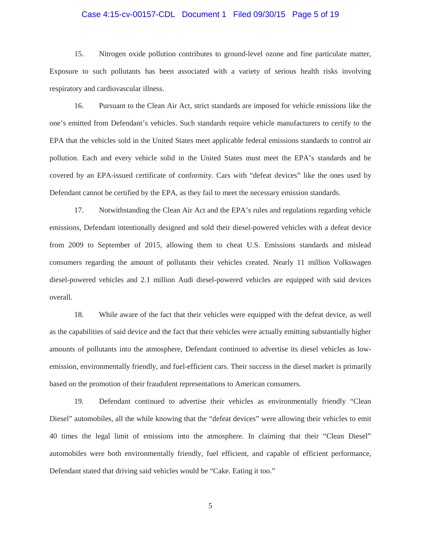# Case 4:15-cv-00157-CDL Document 1 Filed 09/30/15 Page 5 of 19

 15. Nitrogen oxide pollution contributes to ground-level ozone and fine particulate matter, Exposure to such pollutants has been associated with a variety of serious health risks involving respiratory and cardiovascular illness.

 16. Pursuant to the Clean Air Act, strict standards are imposed for vehicle emissions like the one's emitted from Defendant's vehicles. Such standards require vehicle manufacturers to certify to the EPA that the vehicles sold in the United States meet applicable federal emissions standards to control air pollution. Each and every vehicle solid in the United States must meet the EPA's standards and be covered by an EPA-issued certificate of conformity. Cars with "defeat devices" like the ones used by Defendant cannot be certified by the EPA, as they fail to meet the necessary emission standards.

 17. Notwithstanding the Clean Air Act and the EPA's rules and regulations regarding vehicle emissions, Defendant intentionally designed and sold their diesel-powered vehicles with a defeat device from 2009 to September of 2015, allowing them to cheat U.S. Emissions standards and mislead consumers regarding the amount of pollutants their vehicles created. Nearly 11 million Volkswagen diesel-powered vehicles and 2.1 million Audi diesel-powered vehicles are equipped with said devices overall.

18. While aware of the fact that their vehicles were equipped with the defeat device, as well as the capabilities of said device and the fact that their vehicles were actually emitting substantially higher amounts of pollutants into the atmosphere, Defendant continued to advertise its diesel vehicles as lowemission, environmentally friendly, and fuel-efficient cars. Their success in the diesel market is primarily based on the promotion of their fraudulent representations to American consumers.

19. Defendant continued to advertise their vehicles as environmentally friendly "Clean Diesel" automobiles, all the while knowing that the "defeat devices" were allowing their vehicles to emit 40 times the legal limit of emissions into the atmosphere. In claiming that their "Clean Diesel" automobiles were both environmentally friendly, fuel efficient, and capable of efficient performance, Defendant stated that driving said vehicles would be "Cake. Eating it too."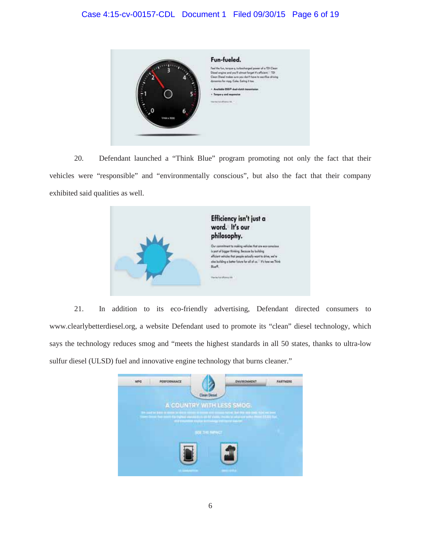

 20. Defendant launched a "Think Blue" program promoting not only the fact that their vehicles were "responsible" and "environmentally conscious", but also the fact that their company exhibited said qualities as well.



 21. In addition to its eco-friendly advertising, Defendant directed consumers to www.clearlybetterdiesel.org, a website Defendant used to promote its "clean" diesel technology, which says the technology reduces smog and "meets the highest standards in all 50 states, thanks to ultra-low sulfur diesel (ULSD) fuel and innovative engine technology that burns cleaner."

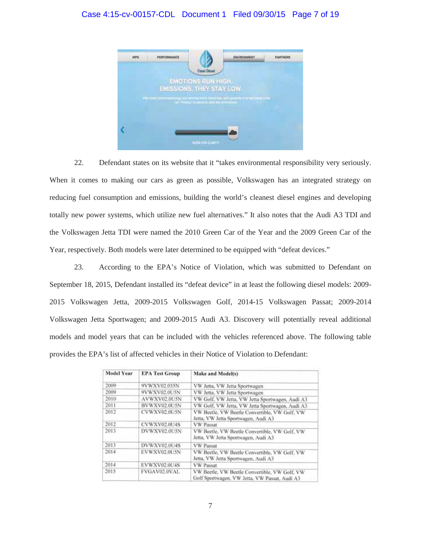# Case 4:15-cv-00157-CDL Document 1 Filed 09/30/15 Page 7 of 19



 22. Defendant states on its website that it "takes environmental responsibility very seriously. When it comes to making our cars as green as possible, Volkswagen has an integrated strategy on reducing fuel consumption and emissions, building the world's cleanest diesel engines and developing totally new power systems, which utilize new fuel alternatives." It also notes that the Audi A3 TDI and the Volkswagen Jetta TDI were named the 2010 Green Car of the Year and the 2009 Green Car of the Year, respectively. Both models were later determined to be equipped with "defeat devices."

23. According to the EPA's Notice of Violation, which was submitted to Defendant on September 18, 2015, Defendant installed its "defeat device" in at least the following diesel models: 2009- 2015 Volkswagen Jetta, 2009-2015 Volkswagen Golf, 2014-15 Volkswagen Passat; 2009-2014 Volkswagen Jetta Sportwagen; and 2009-2015 Audi A3. Discovery will potentially reveal additional models and model years that can be included with the vehicles referenced above. The following table provides the EPA's list of affected vehicles in their Notice of Violation to Defendant:

| <b>Model Year</b> | <b>EPA Test Group</b> | Make and Model(s)                                                                              |
|-------------------|-----------------------|------------------------------------------------------------------------------------------------|
| 2009              | 9VWXV02.035N          | VW Jetta, VW Jetta Sportwagen                                                                  |
| 2009              | 9VWXV02.0USN          | VW Jetta, VW Jetta Sportwagen                                                                  |
| 2010              | AVWXV02.0U5N          | VW Golf, VW Jetta, VW Jetta Sportwagen, Audi A3                                                |
| 2011              | BVWXV02.0U5N          | VW Golf, VW Jetta, VW Jetta Sportwagen, Audi A3                                                |
| 2012              | CVWXV02.0U5N          | VW Beetle, VW Beetle Convertible, VW Golf, VW<br>Jetta, VW Jetta Sportwagen, Audi A3           |
| 2012              | CVWXV02.0U4S          | <b>VW Passat</b>                                                                               |
| 2013              | DVWXV02.0U5N          | VW Beetle, VW Beetle Convertible, VW Golf, VW<br>Jetta, VW Jetta Sportwagen, Audi A3           |
| 2013              | DVWXV02.0U4S          | <b>VW Passat</b>                                                                               |
| 2014              | EVWXV02.0U5N          | VW Beetle, VW Beetle Convertible, VW Golf, VW<br>Jetta, VW Jetta Sportwagen, Audi A3           |
| 2014              | EVWXV02.0U4S          | <b>VW Passat</b>                                                                               |
| 2015              | FVGAV02.0VAL          | VW Beetle, VW Beetle Convertible, VW Golf, VW<br>Golf Sportwagen, VW Jetta, VW Passat, Audi A3 |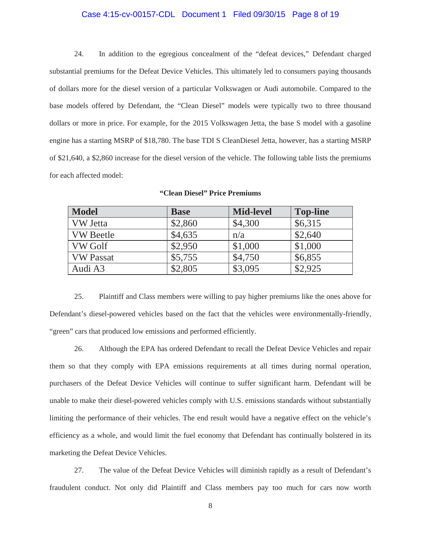# Case 4:15-cv-00157-CDL Document 1 Filed 09/30/15 Page 8 of 19

24. In addition to the egregious concealment of the "defeat devices," Defendant charged substantial premiums for the Defeat Device Vehicles. This ultimately led to consumers paying thousands of dollars more for the diesel version of a particular Volkswagen or Audi automobile. Compared to the base models offered by Defendant, the "Clean Diesel" models were typically two to three thousand dollars or more in price. For example, for the 2015 Volkswagen Jetta, the base S model with a gasoline engine has a starting MSRP of \$18,780. The base TDI S CleanDiesel Jetta, however, has a starting MSRP of \$21,640, a \$2,860 increase for the diesel version of the vehicle. The following table lists the premiums for each affected model:

| <b>Model</b>     | <b>Base</b> | <b>Mid-level</b> | <b>Top-line</b> |
|------------------|-------------|------------------|-----------------|
| VW Jetta         | \$2,860     | \$4,300          | \$6,315         |
| <b>VW</b> Beetle | \$4,635     | n/a              | \$2,640         |
| <b>VW Golf</b>   | \$2,950     | \$1,000          | \$1,000         |
| <b>VW</b> Passat | \$5,755     | \$4,750          | \$6,855         |
| Audi A3          | \$2,805     | \$3,095          | \$2,925         |

|  |  |  | "Clean Diesel" Price Premiums |
|--|--|--|-------------------------------|
|--|--|--|-------------------------------|

 25. Plaintiff and Class members were willing to pay higher premiums like the ones above for Defendant's diesel-powered vehicles based on the fact that the vehicles were environmentally-friendly, "green" cars that produced low emissions and performed efficiently.

 26. Although the EPA has ordered Defendant to recall the Defeat Device Vehicles and repair them so that they comply with EPA emissions requirements at all times during normal operation, purchasers of the Defeat Device Vehicles will continue to suffer significant harm. Defendant will be unable to make their diesel-powered vehicles comply with U.S. emissions standards without substantially limiting the performance of their vehicles. The end result would have a negative effect on the vehicle's efficiency as a whole, and would limit the fuel economy that Defendant has continually bolstered in its marketing the Defeat Device Vehicles.

 27. The value of the Defeat Device Vehicles will diminish rapidly as a result of Defendant's fraudulent conduct. Not only did Plaintiff and Class members pay too much for cars now worth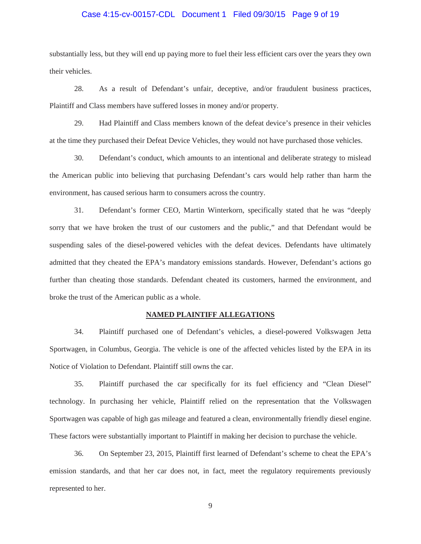# Case 4:15-cv-00157-CDL Document 1 Filed 09/30/15 Page 9 of 19

substantially less, but they will end up paying more to fuel their less efficient cars over the years they own their vehicles.

 28. As a result of Defendant's unfair, deceptive, and/or fraudulent business practices, Plaintiff and Class members have suffered losses in money and/or property.

 29. Had Plaintiff and Class members known of the defeat device's presence in their vehicles at the time they purchased their Defeat Device Vehicles, they would not have purchased those vehicles.

 30. Defendant's conduct, which amounts to an intentional and deliberate strategy to mislead the American public into believing that purchasing Defendant's cars would help rather than harm the environment, has caused serious harm to consumers across the country.

31. Defendant's former CEO, Martin Winterkorn, specifically stated that he was "deeply sorry that we have broken the trust of our customers and the public," and that Defendant would be suspending sales of the diesel-powered vehicles with the defeat devices. Defendants have ultimately admitted that they cheated the EPA's mandatory emissions standards. However, Defendant's actions go further than cheating those standards. Defendant cheated its customers, harmed the environment, and broke the trust of the American public as a whole.

#### **NAMED PLAINTIFF ALLEGATIONS**

 34. Plaintiff purchased one of Defendant's vehicles, a diesel-powered Volkswagen Jetta Sportwagen, in Columbus, Georgia. The vehicle is one of the affected vehicles listed by the EPA in its Notice of Violation to Defendant. Plaintiff still owns the car.

 35. Plaintiff purchased the car specifically for its fuel efficiency and "Clean Diesel" technology. In purchasing her vehicle, Plaintiff relied on the representation that the Volkswagen Sportwagen was capable of high gas mileage and featured a clean, environmentally friendly diesel engine. These factors were substantially important to Plaintiff in making her decision to purchase the vehicle.

 36. On September 23, 2015, Plaintiff first learned of Defendant's scheme to cheat the EPA's emission standards, and that her car does not, in fact, meet the regulatory requirements previously represented to her.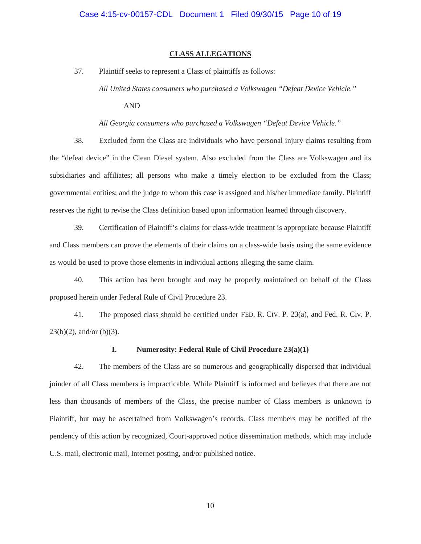#### **CLASS ALLEGATIONS**

37. Plaintiff seeks to represent a Class of plaintiffs as follows:

*All United States consumers who purchased a Volkswagen "Defeat Device Vehicle."*

AND

*All Georgia consumers who purchased a Volkswagen "Defeat Device Vehicle."*

 38. Excluded form the Class are individuals who have personal injury claims resulting from the "defeat device" in the Clean Diesel system. Also excluded from the Class are Volkswagen and its subsidiaries and affiliates; all persons who make a timely election to be excluded from the Class; governmental entities; and the judge to whom this case is assigned and his/her immediate family. Plaintiff reserves the right to revise the Class definition based upon information learned through discovery.

 39. Certification of Plaintiff's claims for class-wide treatment is appropriate because Plaintiff and Class members can prove the elements of their claims on a class-wide basis using the same evidence as would be used to prove those elements in individual actions alleging the same claim.

 40. This action has been brought and may be properly maintained on behalf of the Class proposed herein under Federal Rule of Civil Procedure 23.

 41. The proposed class should be certified under FED. R. CIV. P. 23(a), and Fed. R. Civ. P.  $23(b)(2)$ , and/or (b)(3).

# **I. Numerosity: Federal Rule of Civil Procedure 23(a)(1)**

42. The members of the Class are so numerous and geographically dispersed that individual joinder of all Class members is impracticable. While Plaintiff is informed and believes that there are not less than thousands of members of the Class, the precise number of Class members is unknown to Plaintiff, but may be ascertained from Volkswagen's records. Class members may be notified of the pendency of this action by recognized, Court-approved notice dissemination methods, which may include U.S. mail, electronic mail, Internet posting, and/or published notice.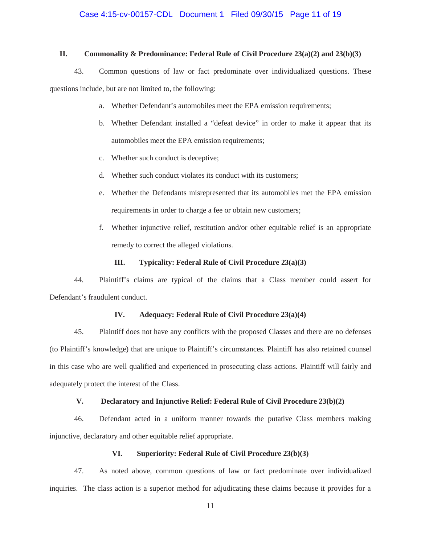# Case 4:15-cv-00157-CDL Document 1 Filed 09/30/15 Page 11 of 19

# **II. Commonality & Predominance: Federal Rule of Civil Procedure 23(a)(2) and 23(b)(3)**

43. Common questions of law or fact predominate over individualized questions. These questions include, but are not limited to, the following:

- a. Whether Defendant's automobiles meet the EPA emission requirements;
- b. Whether Defendant installed a "defeat device" in order to make it appear that its automobiles meet the EPA emission requirements;
- c. Whether such conduct is deceptive;
- d. Whether such conduct violates its conduct with its customers;
- e. Whether the Defendants misrepresented that its automobiles met the EPA emission requirements in order to charge a fee or obtain new customers;
- f. Whether injunctive relief, restitution and/or other equitable relief is an appropriate remedy to correct the alleged violations.

#### **III. Typicality: Federal Rule of Civil Procedure 23(a)(3)**

44. Plaintiff's claims are typical of the claims that a Class member could assert for Defendant's fraudulent conduct.

# **IV. Adequacy: Federal Rule of Civil Procedure 23(a)(4)**

45. Plaintiff does not have any conflicts with the proposed Classes and there are no defenses (to Plaintiff's knowledge) that are unique to Plaintiff's circumstances. Plaintiff has also retained counsel in this case who are well qualified and experienced in prosecuting class actions. Plaintiff will fairly and adequately protect the interest of the Class.

# **V. Declaratory and Injunctive Relief: Federal Rule of Civil Procedure 23(b)(2)**

46. Defendant acted in a uniform manner towards the putative Class members making injunctive, declaratory and other equitable relief appropriate.

# **VI. Superiority: Federal Rule of Civil Procedure 23(b)(3)**

47. As noted above, common questions of law or fact predominate over individualized inquiries. The class action is a superior method for adjudicating these claims because it provides for a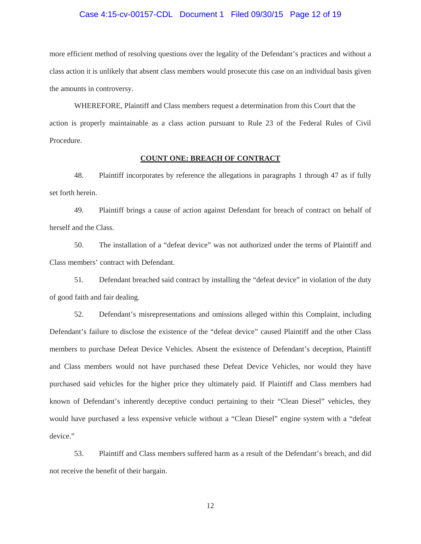#### Case 4:15-cv-00157-CDL Document 1 Filed 09/30/15 Page 12 of 19

more efficient method of resolving questions over the legality of the Defendant's practices and without a class action it is unlikely that absent class members would prosecute this case on an individual basis given the amounts in controversy.

WHEREFORE, Plaintiff and Class members request a determination from this Court that the action is properly maintainable as a class action pursuant to Rule 23 of the Federal Rules of Civil Procedure.

# **COUNT ONE: BREACH OF CONTRACT**

48. Plaintiff incorporates by reference the allegations in paragraphs 1 through 47 as if fully set forth herein.

 49. Plaintiff brings a cause of action against Defendant for breach of contract on behalf of herself and the Class.

50. The installation of a "defeat device" was not authorized under the terms of Plaintiff and Class members' contract with Defendant.

 51. Defendant breached said contract by installing the "defeat device" in violation of the duty of good faith and fair dealing.

 52. Defendant's misrepresentations and omissions alleged within this Complaint, including Defendant's failure to disclose the existence of the "defeat device" caused Plaintiff and the other Class members to purchase Defeat Device Vehicles. Absent the existence of Defendant's deception, Plaintiff and Class members would not have purchased these Defeat Device Vehicles, nor would they have purchased said vehicles for the higher price they ultimately paid. If Plaintiff and Class members had known of Defendant's inherently deceptive conduct pertaining to their "Clean Diesel" vehicles, they would have purchased a less expensive vehicle without a "Clean Diesel" engine system with a "defeat device"

 53. Plaintiff and Class members suffered harm as a result of the Defendant's breach, and did not receive the benefit of their bargain.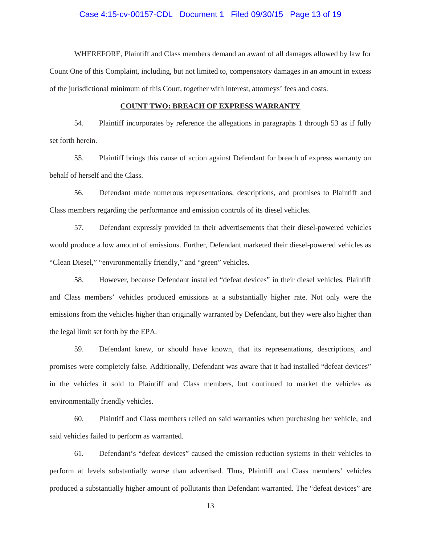# Case 4:15-cv-00157-CDL Document 1 Filed 09/30/15 Page 13 of 19

WHEREFORE, Plaintiff and Class members demand an award of all damages allowed by law for Count One of this Complaint, including, but not limited to, compensatory damages in an amount in excess of the jurisdictional minimum of this Court, together with interest, attorneys' fees and costs.

# **COUNT TWO: BREACH OF EXPRESS WARRANTY**

54. Plaintiff incorporates by reference the allegations in paragraphs 1 through 53 as if fully set forth herein.

 55. Plaintiff brings this cause of action against Defendant for breach of express warranty on behalf of herself and the Class.

 56. Defendant made numerous representations, descriptions, and promises to Plaintiff and Class members regarding the performance and emission controls of its diesel vehicles.

 57. Defendant expressly provided in their advertisements that their diesel-powered vehicles would produce a low amount of emissions. Further, Defendant marketed their diesel-powered vehicles as "Clean Diesel," "environmentally friendly," and "green" vehicles.

 58. However, because Defendant installed "defeat devices" in their diesel vehicles, Plaintiff and Class members' vehicles produced emissions at a substantially higher rate. Not only were the emissions from the vehicles higher than originally warranted by Defendant, but they were also higher than the legal limit set forth by the EPA.

 59. Defendant knew, or should have known, that its representations, descriptions, and promises were completely false. Additionally, Defendant was aware that it had installed "defeat devices" in the vehicles it sold to Plaintiff and Class members, but continued to market the vehicles as environmentally friendly vehicles.

 60. Plaintiff and Class members relied on said warranties when purchasing her vehicle, and said vehicles failed to perform as warranted.

 61. Defendant's "defeat devices" caused the emission reduction systems in their vehicles to perform at levels substantially worse than advertised. Thus, Plaintiff and Class members' vehicles produced a substantially higher amount of pollutants than Defendant warranted. The "defeat devices" are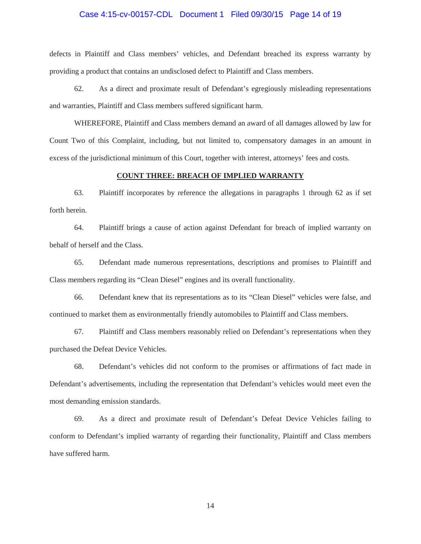# Case 4:15-cv-00157-CDL Document 1 Filed 09/30/15 Page 14 of 19

defects in Plaintiff and Class members' vehicles, and Defendant breached its express warranty by providing a product that contains an undisclosed defect to Plaintiff and Class members.

 62. As a direct and proximate result of Defendant's egregiously misleading representations and warranties, Plaintiff and Class members suffered significant harm.

WHEREFORE, Plaintiff and Class members demand an award of all damages allowed by law for Count Two of this Complaint, including, but not limited to, compensatory damages in an amount in excess of the jurisdictional minimum of this Court, together with interest, attorneys' fees and costs.

# **COUNT THREE: BREACH OF IMPLIED WARRANTY**

63. Plaintiff incorporates by reference the allegations in paragraphs 1 through 62 as if set forth herein.

64. Plaintiff brings a cause of action against Defendant for breach of implied warranty on behalf of herself and the Class.

 65. Defendant made numerous representations, descriptions and promises to Plaintiff and Class members regarding its "Clean Diesel" engines and its overall functionality.

 66. Defendant knew that its representations as to its "Clean Diesel" vehicles were false, and continued to market them as environmentally friendly automobiles to Plaintiff and Class members.

 67. Plaintiff and Class members reasonably relied on Defendant's representations when they purchased the Defeat Device Vehicles.

 68. Defendant's vehicles did not conform to the promises or affirmations of fact made in Defendant's advertisements, including the representation that Defendant's vehicles would meet even the most demanding emission standards.

69. As a direct and proximate result of Defendant's Defeat Device Vehicles failing to conform to Defendant's implied warranty of regarding their functionality, Plaintiff and Class members have suffered harm.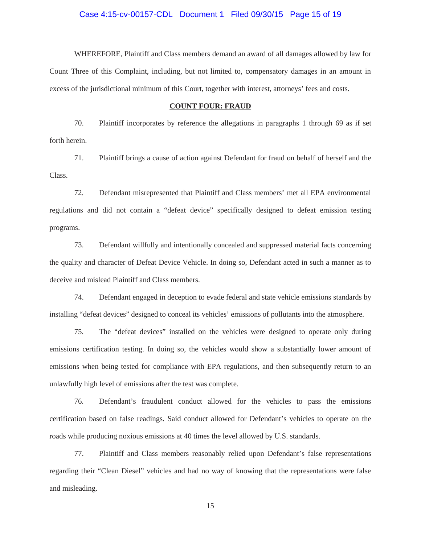# Case 4:15-cv-00157-CDL Document 1 Filed 09/30/15 Page 15 of 19

WHEREFORE, Plaintiff and Class members demand an award of all damages allowed by law for Count Three of this Complaint, including, but not limited to, compensatory damages in an amount in excess of the jurisdictional minimum of this Court, together with interest, attorneys' fees and costs.

# **COUNT FOUR: FRAUD**

70. Plaintiff incorporates by reference the allegations in paragraphs 1 through 69 as if set forth herein.

71. Plaintiff brings a cause of action against Defendant for fraud on behalf of herself and the Class.

72. Defendant misrepresented that Plaintiff and Class members' met all EPA environmental regulations and did not contain a "defeat device" specifically designed to defeat emission testing programs.

73. Defendant willfully and intentionally concealed and suppressed material facts concerning the quality and character of Defeat Device Vehicle. In doing so, Defendant acted in such a manner as to deceive and mislead Plaintiff and Class members.

74. Defendant engaged in deception to evade federal and state vehicle emissions standards by installing "defeat devices" designed to conceal its vehicles' emissions of pollutants into the atmosphere.

75. The "defeat devices" installed on the vehicles were designed to operate only during emissions certification testing. In doing so, the vehicles would show a substantially lower amount of emissions when being tested for compliance with EPA regulations, and then subsequently return to an unlawfully high level of emissions after the test was complete.

76. Defendant's fraudulent conduct allowed for the vehicles to pass the emissions certification based on false readings. Said conduct allowed for Defendant's vehicles to operate on the roads while producing noxious emissions at 40 times the level allowed by U.S. standards.

77. Plaintiff and Class members reasonably relied upon Defendant's false representations regarding their "Clean Diesel" vehicles and had no way of knowing that the representations were false and misleading.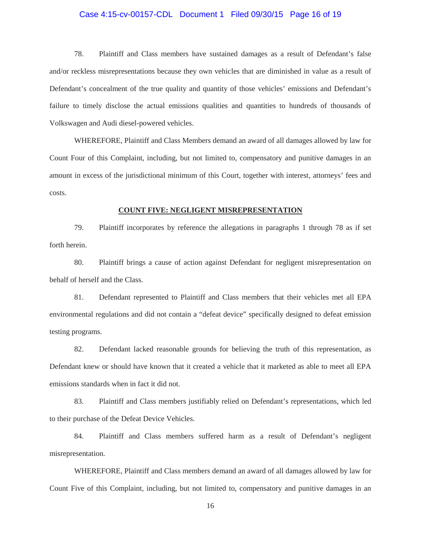# Case 4:15-cv-00157-CDL Document 1 Filed 09/30/15 Page 16 of 19

78. Plaintiff and Class members have sustained damages as a result of Defendant's false and/or reckless misrepresentations because they own vehicles that are diminished in value as a result of Defendant's concealment of the true quality and quantity of those vehicles' emissions and Defendant's failure to timely disclose the actual emissions qualities and quantities to hundreds of thousands of Volkswagen and Audi diesel-powered vehicles.

WHEREFORE, Plaintiff and Class Members demand an award of all damages allowed by law for Count Four of this Complaint, including, but not limited to, compensatory and punitive damages in an amount in excess of the jurisdictional minimum of this Court, together with interest, attorneys' fees and costs.

#### **COUNT FIVE: NEGLIGENT MISREPRESENTATION**

79. Plaintiff incorporates by reference the allegations in paragraphs 1 through 78 as if set forth herein.

80. Plaintiff brings a cause of action against Defendant for negligent misrepresentation on behalf of herself and the Class.

81. Defendant represented to Plaintiff and Class members that their vehicles met all EPA environmental regulations and did not contain a "defeat device" specifically designed to defeat emission testing programs.

82. Defendant lacked reasonable grounds for believing the truth of this representation, as Defendant knew or should have known that it created a vehicle that it marketed as able to meet all EPA emissions standards when in fact it did not.

83. Plaintiff and Class members justifiably relied on Defendant's representations, which led to their purchase of the Defeat Device Vehicles.

84. Plaintiff and Class members suffered harm as a result of Defendant's negligent misrepresentation.

WHEREFORE, Plaintiff and Class members demand an award of all damages allowed by law for Count Five of this Complaint, including, but not limited to, compensatory and punitive damages in an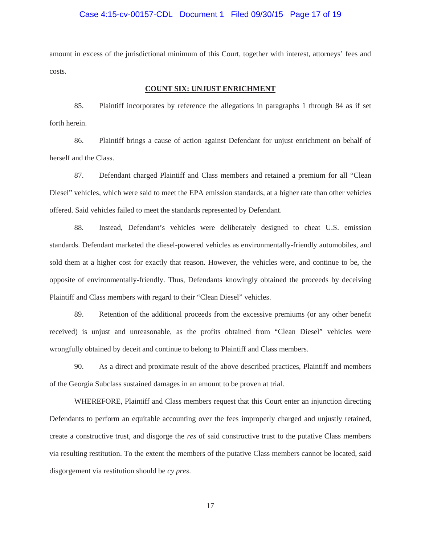# Case 4:15-cv-00157-CDL Document 1 Filed 09/30/15 Page 17 of 19

amount in excess of the jurisdictional minimum of this Court, together with interest, attorneys' fees and costs.

#### **COUNT SIX: UNJUST ENRICHMENT**

85. Plaintiff incorporates by reference the allegations in paragraphs 1 through 84 as if set forth herein.

86. Plaintiff brings a cause of action against Defendant for unjust enrichment on behalf of herself and the Class.

87. Defendant charged Plaintiff and Class members and retained a premium for all "Clean Diesel" vehicles, which were said to meet the EPA emission standards, at a higher rate than other vehicles offered. Said vehicles failed to meet the standards represented by Defendant.

88. Instead, Defendant's vehicles were deliberately designed to cheat U.S. emission standards. Defendant marketed the diesel-powered vehicles as environmentally-friendly automobiles, and sold them at a higher cost for exactly that reason. However, the vehicles were, and continue to be, the opposite of environmentally-friendly. Thus, Defendants knowingly obtained the proceeds by deceiving Plaintiff and Class members with regard to their "Clean Diesel" vehicles.

89. Retention of the additional proceeds from the excessive premiums (or any other benefit received) is unjust and unreasonable, as the profits obtained from "Clean Diesel" vehicles were wrongfully obtained by deceit and continue to belong to Plaintiff and Class members.

90. As a direct and proximate result of the above described practices, Plaintiff and members of the Georgia Subclass sustained damages in an amount to be proven at trial.

WHEREFORE, Plaintiff and Class members request that this Court enter an injunction directing Defendants to perform an equitable accounting over the fees improperly charged and unjustly retained, create a constructive trust, and disgorge the *res* of said constructive trust to the putative Class members via resulting restitution. To the extent the members of the putative Class members cannot be located, said disgorgement via restitution should be *cy pres*.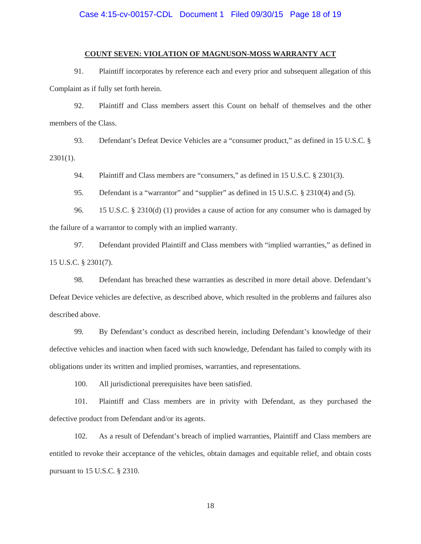# Case 4:15-cv-00157-CDL Document 1 Filed 09/30/15 Page 18 of 19

# **COUNT SEVEN: VIOLATION OF MAGNUSON-MOSS WARRANTY ACT**

91. Plaintiff incorporates by reference each and every prior and subsequent allegation of this Complaint as if fully set forth herein.

 92. Plaintiff and Class members assert this Count on behalf of themselves and the other members of the Class.

 93. Defendant's Defeat Device Vehicles are a "consumer product," as defined in 15 U.S.C. § 2301(1).

94. Plaintiff and Class members are "consumers," as defined in 15 U.S.C. § 2301(3).

95. Defendant is a "warrantor" and "supplier" as defined in 15 U.S.C. § 2310(4) and (5).

 96. 15 U.S.C. § 2310(d) (1) provides a cause of action for any consumer who is damaged by the failure of a warrantor to comply with an implied warranty.

 97. Defendant provided Plaintiff and Class members with "implied warranties," as defined in 15 U.S.C. § 2301(7).

 98. Defendant has breached these warranties as described in more detail above. Defendant's Defeat Device vehicles are defective, as described above, which resulted in the problems and failures also described above.

 99. By Defendant's conduct as described herein, including Defendant's knowledge of their defective vehicles and inaction when faced with such knowledge, Defendant has failed to comply with its obligations under its written and implied promises, warranties, and representations.

100. All jurisdictional prerequisites have been satisfied.

 101. Plaintiff and Class members are in privity with Defendant, as they purchased the defective product from Defendant and/or its agents.

 102. As a result of Defendant's breach of implied warranties, Plaintiff and Class members are entitled to revoke their acceptance of the vehicles, obtain damages and equitable relief, and obtain costs pursuant to 15 U.S.C. § 2310.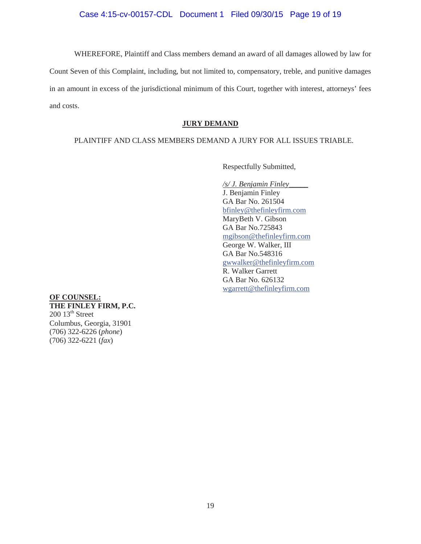WHEREFORE, Plaintiff and Class members demand an award of all damages allowed by law for Count Seven of this Complaint, including, but not limited to, compensatory, treble, and punitive damages in an amount in excess of the jurisdictional minimum of this Court, together with interest, attorneys' fees and costs.

### **JURY DEMAND**

# PLAINTIFF AND CLASS MEMBERS DEMAND A JURY FOR ALL ISSUES TRIABLE.

Respectfully Submitted,

*/s/ J. Benjamin Finley\_\_\_\_\_*  J. Benjamin Finley GA Bar No. 261504 bfinley@thefinleyfirm.com MaryBeth V. Gibson GA Bar No.725843 mgibson@thefinleyfirm.com George W. Walker, III GA Bar No.548316 gwwalker@thefinleyfirm.com R. Walker Garrett GA Bar No. 626132 wgarrett@thefinleyfirm.com

**OF COUNSEL: THE FINLEY FIRM, P.C.**   $200$   $13^{\text{th}}$  Street Columbus, Georgia, 31901 (706) 322-6226 (*phone*) (706) 322-6221 (*fax*)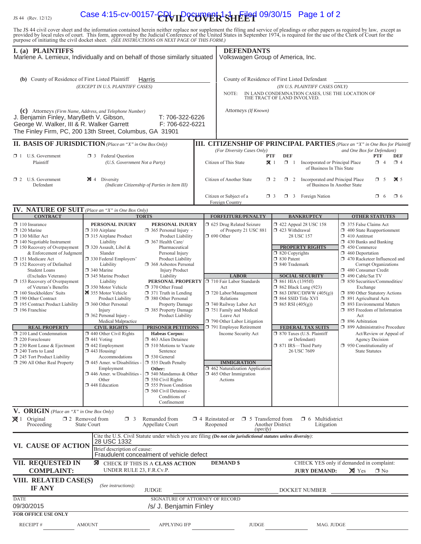# $\frac{1}{15}$  (Rev. 12/12) Case 4:15-cv-00157- $\left[\text{C}_{\text{IV}}\right]$   $\left[\text{C}_{\text{UV}}\right]$   $\left[\text{C}_{\text{IV}}\right]$   $\left[\text{C}_{\text{IV}}\right]$   $\left[\text{C}_{\text{IV}}\right]$   $\left[\text{C}_{\text{IV}}\right]$   $\left[\text{C}_{\text{IV}}\right]$   $\left[\text{C}_{\text{IV}}\right]$   $\left[\text{C}_{\text{IV}}\right]$   $\left[\text{C}_{\text{IV}}\right]$

The JS 44 civil cover sheet and the information contained herein neither replace nor supplement the filing and service of pleadings or other papers as required by law, except as provided by local rules of court. This form,

| I. (a) PLAINTIFFS<br>Marlene A. Lemieux, Individually and on behalf of those similarly situated                                                                                                                                                                                                                                                                                                                                                                                                                                                                                                                                                       |                                                                                                                                                                                                                                                                                                                                                                                                                                                                                                                                                                                                                                |                                                                                                                                                                                                                                                                                                                                                                                                                                                                                                                                                                                                                                                                                                                    | <b>DEFENDANTS</b><br>Volkswagen Group of America, Inc.                                                                                                                                                                                                                                                                                                                                                                                                  |                                                                                                                                                                                                                                                                                                                                                                                                                                                                         |                                                                                                                                                                                                                                                                                                                                                                                                                                                                                                                                                                                                                                                            |
|-------------------------------------------------------------------------------------------------------------------------------------------------------------------------------------------------------------------------------------------------------------------------------------------------------------------------------------------------------------------------------------------------------------------------------------------------------------------------------------------------------------------------------------------------------------------------------------------------------------------------------------------------------|--------------------------------------------------------------------------------------------------------------------------------------------------------------------------------------------------------------------------------------------------------------------------------------------------------------------------------------------------------------------------------------------------------------------------------------------------------------------------------------------------------------------------------------------------------------------------------------------------------------------------------|--------------------------------------------------------------------------------------------------------------------------------------------------------------------------------------------------------------------------------------------------------------------------------------------------------------------------------------------------------------------------------------------------------------------------------------------------------------------------------------------------------------------------------------------------------------------------------------------------------------------------------------------------------------------------------------------------------------------|---------------------------------------------------------------------------------------------------------------------------------------------------------------------------------------------------------------------------------------------------------------------------------------------------------------------------------------------------------------------------------------------------------------------------------------------------------|-------------------------------------------------------------------------------------------------------------------------------------------------------------------------------------------------------------------------------------------------------------------------------------------------------------------------------------------------------------------------------------------------------------------------------------------------------------------------|------------------------------------------------------------------------------------------------------------------------------------------------------------------------------------------------------------------------------------------------------------------------------------------------------------------------------------------------------------------------------------------------------------------------------------------------------------------------------------------------------------------------------------------------------------------------------------------------------------------------------------------------------------|
| (b) County of Residence of First Listed Plaintiff                                                                                                                                                                                                                                                                                                                                                                                                                                                                                                                                                                                                     | (EXCEPT IN U.S. PLAINTIFF CASES)                                                                                                                                                                                                                                                                                                                                                                                                                                                                                                                                                                                               | Harris                                                                                                                                                                                                                                                                                                                                                                                                                                                                                                                                                                                                                                                                                                             | NOTE:                                                                                                                                                                                                                                                                                                                                                                                                                                                   | County of Residence of First Listed Defendant<br>(IN U.S. PLAINTIFF CASES ONLY)<br>IN LAND CONDEMNATION CASES, USE THE LOCATION OF<br>THE TRACT OF LAND INVOLVED.                                                                                                                                                                                                                                                                                                       |                                                                                                                                                                                                                                                                                                                                                                                                                                                                                                                                                                                                                                                            |
| (c) Attorneys (Firm Name, Address, and Telephone Number)<br>J. Benjamin Finley, MaryBeth V. Gibson,<br>George W. Walker, III & R. Walker Garrett<br>The Finley Firm, PC, 200 13th Street, Columbus, GA 31901                                                                                                                                                                                                                                                                                                                                                                                                                                          |                                                                                                                                                                                                                                                                                                                                                                                                                                                                                                                                                                                                                                | T: 706-322-6226<br>F: 706-622-6221                                                                                                                                                                                                                                                                                                                                                                                                                                                                                                                                                                                                                                                                                 | Attorneys (If Known)                                                                                                                                                                                                                                                                                                                                                                                                                                    |                                                                                                                                                                                                                                                                                                                                                                                                                                                                         |                                                                                                                                                                                                                                                                                                                                                                                                                                                                                                                                                                                                                                                            |
| <b>II. BASIS OF JURISDICTION</b> (Place an "X" in One Box Only)                                                                                                                                                                                                                                                                                                                                                                                                                                                                                                                                                                                       |                                                                                                                                                                                                                                                                                                                                                                                                                                                                                                                                                                                                                                |                                                                                                                                                                                                                                                                                                                                                                                                                                                                                                                                                                                                                                                                                                                    |                                                                                                                                                                                                                                                                                                                                                                                                                                                         |                                                                                                                                                                                                                                                                                                                                                                                                                                                                         | <b>III. CITIZENSHIP OF PRINCIPAL PARTIES</b> (Place an "X" in One Box for Plaintiff                                                                                                                                                                                                                                                                                                                                                                                                                                                                                                                                                                        |
| $\Box$ 1 U.S. Government<br>Plaintiff                                                                                                                                                                                                                                                                                                                                                                                                                                                                                                                                                                                                                 | <b>1</b> 3 Federal Question<br>(U.S. Government Not a Party)                                                                                                                                                                                                                                                                                                                                                                                                                                                                                                                                                                   |                                                                                                                                                                                                                                                                                                                                                                                                                                                                                                                                                                                                                                                                                                                    | (For Diversity Cases Only)<br>Citizen of This State                                                                                                                                                                                                                                                                                                                                                                                                     | <b>DEF</b><br><b>PTF</b><br>$\mathbf{X}$ 1<br>$\Box$ 1<br>Incorporated or Principal Place<br>of Business In This State                                                                                                                                                                                                                                                                                                                                                  | and One Box for Defendant)<br><b>PTF</b><br><b>DEF</b><br>$\Box$ 4<br>$\Box$ 4                                                                                                                                                                                                                                                                                                                                                                                                                                                                                                                                                                             |
| $\Box$ 2 U.S. Government<br>Defendant                                                                                                                                                                                                                                                                                                                                                                                                                                                                                                                                                                                                                 | $\boxtimes$ 4 Diversity                                                                                                                                                                                                                                                                                                                                                                                                                                                                                                                                                                                                        | (Indicate Citizenship of Parties in Item III)                                                                                                                                                                                                                                                                                                                                                                                                                                                                                                                                                                                                                                                                      | Citizen of Another State                                                                                                                                                                                                                                                                                                                                                                                                                                | $\Box$ 2<br>$\Box$ 2<br>Incorporated and Principal Place<br>of Business In Another State                                                                                                                                                                                                                                                                                                                                                                                | $\Box$ 5<br>$\overline{\mathbf{X}}$ 5                                                                                                                                                                                                                                                                                                                                                                                                                                                                                                                                                                                                                      |
|                                                                                                                                                                                                                                                                                                                                                                                                                                                                                                                                                                                                                                                       |                                                                                                                                                                                                                                                                                                                                                                                                                                                                                                                                                                                                                                |                                                                                                                                                                                                                                                                                                                                                                                                                                                                                                                                                                                                                                                                                                                    | Citizen or Subject of a<br>Foreign Country                                                                                                                                                                                                                                                                                                                                                                                                              | $\Box$ 3 Foreign Nation<br>$\Box$ 3                                                                                                                                                                                                                                                                                                                                                                                                                                     | $\Box$ 6<br>$\Box$ 6                                                                                                                                                                                                                                                                                                                                                                                                                                                                                                                                                                                                                                       |
| <b>IV. NATURE OF SUIT</b> (Place an "X" in One Box Only)                                                                                                                                                                                                                                                                                                                                                                                                                                                                                                                                                                                              |                                                                                                                                                                                                                                                                                                                                                                                                                                                                                                                                                                                                                                |                                                                                                                                                                                                                                                                                                                                                                                                                                                                                                                                                                                                                                                                                                                    |                                                                                                                                                                                                                                                                                                                                                                                                                                                         |                                                                                                                                                                                                                                                                                                                                                                                                                                                                         |                                                                                                                                                                                                                                                                                                                                                                                                                                                                                                                                                                                                                                                            |
| <b>CONTRACT</b><br>$\Box$ 110 Insurance<br>$\Box$ 120 Marine<br>130 Miller Act<br>$\Box$ 140 Negotiable Instrument<br>150 Recovery of Overpayment<br>& Enforcement of Judgment<br>151 Medicare Act<br>152 Recovery of Defaulted<br><b>Student Loans</b><br>(Excludes Veterans)<br>153 Recovery of Overpayment<br>of Veteran's Benefits<br>$\Box$ 160 Stockholders' Suits<br>190 Other Contract<br>195 Contract Product Liability<br>$\Box$ 196 Franchise<br><b>REAL PROPERTY</b><br>210 Land Condemnation<br>220 Foreclosure<br>1 230 Rent Lease & Ejectment<br>$\Box$ 240 Torts to Land<br>245 Tort Product Liability<br>290 All Other Real Property | PERSONAL INJURY<br>310 Airplane<br>□ 315 Airplane Product<br>Liability<br>$\Box$ 320 Assault, Libel &<br>Slander<br>330 Federal Employers'<br>Liability<br>□ 340 Marine<br>345 Marine Product<br>Liability<br>350 Motor Vehicle<br>355 Motor Vehicle<br><b>Product Liability</b><br>360 Other Personal<br>Injury<br>$\Box$ 362 Personal Injury -<br>Medical Malpractice<br><b>CIVIL RIGHTS</b><br>$\Box$ 440 Other Civil Rights<br>$\Box$ 441 Voting<br>442 Employment<br>$\Box$ 443 Housing/<br>Accommodations<br>$\Box$ 445 Amer. w/Disabilities<br>Employment<br>$\Box$ 446 Amer. w/Disabilities<br>Other<br>1448 Education | <b>TORTS</b><br>PERSONAL INJURY<br>$\Box$ 365 Personal Injury -<br>Product Liability<br>367 Health Care/<br>Pharmaceutical<br>Personal Injury<br>Product Liability<br>1368 Asbestos Personal<br><b>Injury Product</b><br>Liability<br>PERSONAL PROPERTY<br>370 Other Fraud<br>$\Box$ 371 Truth in Lending<br>380 Other Personal<br>Property Damage<br>385 Property Damage<br>Product Liability<br><b>PRISONER PETITIONS</b><br><b>Habeas Corpus:</b><br>1 463 Alien Detainee<br>$\Box$ 510 Motions to Vacate<br>Sentence<br>□ 530 General<br>535 Death Penalty<br>Other:<br>$\Box$ 540 Mandamus & Other<br>$\Box$ 550 Civil Rights<br>555 Prison Condition<br>560 Civil Detainee -<br>Conditions of<br>Confinement | <b>FORFEITURE/PENALTY</b><br>5 625 Drug Related Seizure<br>of Property 21 USC 881<br>$\Box$ 690 Other<br><b>LABOR</b><br>710 Fair Labor Standards<br>Act<br>720 Labor/Management<br>Relations<br>740 Railway Labor Act<br>751 Family and Medical<br>Leave Act<br>790 Other Labor Litigation<br>791 Employee Retirement<br>Income Security Act<br><b>IMMIGRATION</b><br>$\Box$ 462 Naturalization Application<br>$\Box$ 465 Other Immigration<br>Actions | <b>BANKRUPTCY</b><br>$\Box$ 422 Appeal 28 USC 158<br>1 423 Withdrawal<br>28 USC 157<br><b>PROPERTY RIGHTS</b><br>$\Box$ 820 Copyrights<br>□ 830 Patent<br>□ 840 Trademark<br><b>SOCIAL SECURITY</b><br>$\Box$ 861 HIA (1395ff)<br><b>1</b> 862 Black Lung (923)<br>$\Box$ 863 DIWC/DIWW (405(g))<br>□ 864 SSID Title XVI<br>$\Box$ 865 RSI (405(g))<br><b>FEDERAL TAX SUITS</b><br>□ 870 Taxes (U.S. Plaintiff<br>or Defendant)<br>□ 871 IRS-Third Party<br>26 USC 7609 | <b>OTHER STATUTES</b><br>375 False Claims Act<br>$\Box$ 400 State Reapportionment<br>$\Box$ 410 Antitrust<br>$\Box$ 430 Banks and Banking<br>450 Commerce<br>$\Box$ 460 Deportation<br>1 470 Racketeer Influenced and<br>Corrupt Organizations<br>480 Consumer Credit<br>490 Cable/Sat TV<br>□ 850 Securities/Commodities/<br>Exchange<br>1 890 Other Statutory Actions<br>□ 891 Agricultural Acts<br>□ 893 Environmental Matters<br>$\Box$ 895 Freedom of Information<br>Act<br>$\Box$ 896 Arbitration<br>1 899 Administrative Procedure<br>Act/Review or Appeal of<br><b>Agency Decision</b><br>$\Box$ 950 Constitutionality of<br><b>State Statutes</b> |
| V. ORIGIN (Place an "X" in One Box Only)                                                                                                                                                                                                                                                                                                                                                                                                                                                                                                                                                                                                              |                                                                                                                                                                                                                                                                                                                                                                                                                                                                                                                                                                                                                                |                                                                                                                                                                                                                                                                                                                                                                                                                                                                                                                                                                                                                                                                                                                    |                                                                                                                                                                                                                                                                                                                                                                                                                                                         |                                                                                                                                                                                                                                                                                                                                                                                                                                                                         |                                                                                                                                                                                                                                                                                                                                                                                                                                                                                                                                                                                                                                                            |
| $\boxtimes$ 1 Original<br>Proceeding                                                                                                                                                                                                                                                                                                                                                                                                                                                                                                                                                                                                                  | $\square$ 2 Removed from<br>$\Box$ 3<br><b>State Court</b>                                                                                                                                                                                                                                                                                                                                                                                                                                                                                                                                                                     | Remanded from<br>Appellate Court                                                                                                                                                                                                                                                                                                                                                                                                                                                                                                                                                                                                                                                                                   | $\Box$ 4 Reinstated or $\Box$ 5 Transferred from<br>Reopened<br>(specify)                                                                                                                                                                                                                                                                                                                                                                               | $\Box$ 6 Multidistrict<br>Another District<br>Litigation                                                                                                                                                                                                                                                                                                                                                                                                                |                                                                                                                                                                                                                                                                                                                                                                                                                                                                                                                                                                                                                                                            |
| VI. CAUSE OF ACTION                                                                                                                                                                                                                                                                                                                                                                                                                                                                                                                                                                                                                                   | 28 USC 1332<br>Brief description of cause:                                                                                                                                                                                                                                                                                                                                                                                                                                                                                                                                                                                     | Fraudulent concealment of vehicle defect                                                                                                                                                                                                                                                                                                                                                                                                                                                                                                                                                                                                                                                                           | Cite the U.S. Civil Statute under which you are filing (Do not cite jurisdictional statutes unless diversity):                                                                                                                                                                                                                                                                                                                                          |                                                                                                                                                                                                                                                                                                                                                                                                                                                                         |                                                                                                                                                                                                                                                                                                                                                                                                                                                                                                                                                                                                                                                            |
| <b>VII. REQUESTED IN</b><br><b>COMPLAINT:</b>                                                                                                                                                                                                                                                                                                                                                                                                                                                                                                                                                                                                         | UNDER RULE 23, F.R.Cv.P.                                                                                                                                                                                                                                                                                                                                                                                                                                                                                                                                                                                                       | <b>X</b> CHECK IF THIS IS A CLASS ACTION                                                                                                                                                                                                                                                                                                                                                                                                                                                                                                                                                                                                                                                                           | <b>DEMAND \$</b>                                                                                                                                                                                                                                                                                                                                                                                                                                        | <b>JURY DEMAND:</b>                                                                                                                                                                                                                                                                                                                                                                                                                                                     | CHECK YES only if demanded in complaint:<br>$\times$ Yes<br>$\Box$ No                                                                                                                                                                                                                                                                                                                                                                                                                                                                                                                                                                                      |
| VIII. RELATED CASE(S)<br><b>IF ANY</b>                                                                                                                                                                                                                                                                                                                                                                                                                                                                                                                                                                                                                | (See instructions):                                                                                                                                                                                                                                                                                                                                                                                                                                                                                                                                                                                                            | <b>JUDGE</b>                                                                                                                                                                                                                                                                                                                                                                                                                                                                                                                                                                                                                                                                                                       |                                                                                                                                                                                                                                                                                                                                                                                                                                                         | DOCKET NUMBER                                                                                                                                                                                                                                                                                                                                                                                                                                                           |                                                                                                                                                                                                                                                                                                                                                                                                                                                                                                                                                                                                                                                            |
| <b>DATE</b><br>09/30/2015<br><b>FOR OFFICE USE ONLY</b>                                                                                                                                                                                                                                                                                                                                                                                                                                                                                                                                                                                               |                                                                                                                                                                                                                                                                                                                                                                                                                                                                                                                                                                                                                                | SIGNATURE OF ATTORNEY OF RECORD<br>/s/ J. Benjamin Finley                                                                                                                                                                                                                                                                                                                                                                                                                                                                                                                                                                                                                                                          |                                                                                                                                                                                                                                                                                                                                                                                                                                                         |                                                                                                                                                                                                                                                                                                                                                                                                                                                                         |                                                                                                                                                                                                                                                                                                                                                                                                                                                                                                                                                                                                                                                            |
| RECEIPT#                                                                                                                                                                                                                                                                                                                                                                                                                                                                                                                                                                                                                                              | AMOUNT                                                                                                                                                                                                                                                                                                                                                                                                                                                                                                                                                                                                                         | <b>APPLYING IFP</b>                                                                                                                                                                                                                                                                                                                                                                                                                                                                                                                                                                                                                                                                                                | <b>JUDGE</b>                                                                                                                                                                                                                                                                                                                                                                                                                                            | MAG. JUDGE                                                                                                                                                                                                                                                                                                                                                                                                                                                              |                                                                                                                                                                                                                                                                                                                                                                                                                                                                                                                                                                                                                                                            |